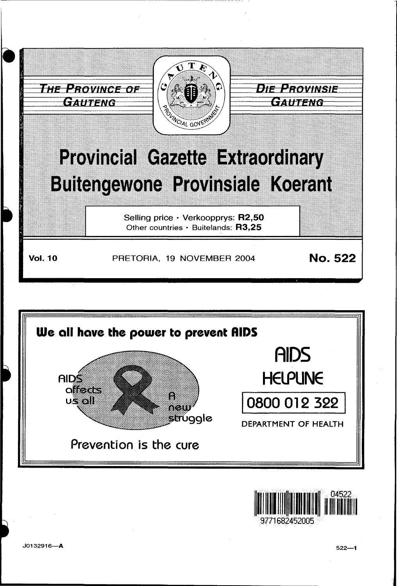





J0132916-A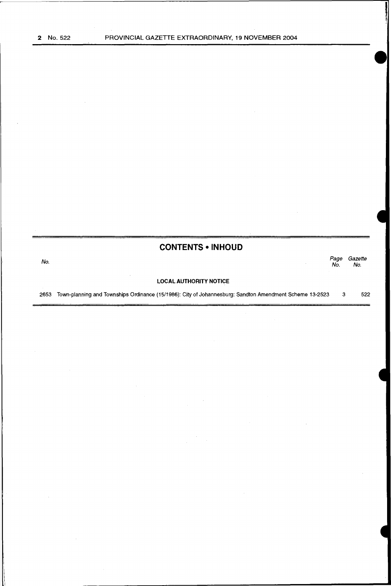# **CONTENTS •INHOUD**

| No.  |                                                                                                         | Page<br>No. | Gazette<br>No. |
|------|---------------------------------------------------------------------------------------------------------|-------------|----------------|
|      | <b>LOCAL AUTHORITY NOTICE</b>                                                                           |             |                |
| 2653 | Town-planning and Townships Ordinance (15/1986): City of Johannesburg: Sandton Amendment Scheme 13-2523 |             | 522            |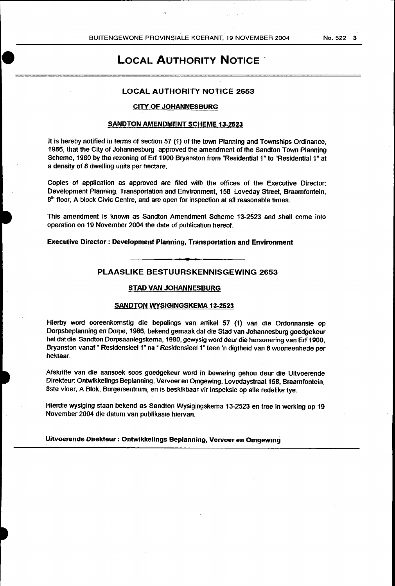# **LOCAL AUTHORITY NOTICE**

# LOCAL AUTHORITY NOTICE 2653

### CITY OF JOHANNESBURG

## SANDTON AMENDMENT SCHEME 13-2523

It is hereby notified in terms of section 57 (1) of the town Planning and Townships Ordinance, 1986, that the City of Johannesburg approved the amendment of the Sandton Town Planning Scheme, 1980 by the rezoning of Erf 1900 Bryanston from "Residential 1" to "Residential 1" at a density of 8 dwelling units per hectare.

Copies of application as approved are filed with the offices of the Executive Director: Development Planning, Transportation and Environment, 158 Loveday Street, Braamfontein,  $8<sup>th</sup>$  floor, A block Civic Centre, and are open for inspection at all reasonable times.

This amendment is known as Sandton Amendment Scheme 13-2S23 and shall come into operation on 19 November 2004 the date of publication hereof.

#### Executive Director : Development Planning, Transportation and Environment

PLAASUKE BESTUURSKENNISGEWING 2653

#### STAD VAN JOHANNESBURG

#### SANDTON WYSIGINGSKEMA 13-2523

Hierby word ooreenkomstig die bepalings van artikel 57 (1) van die Ordonnansie op Dorpsbeplanning en Dorpe, 1986, bekend gemaak dat die stad van Johannesburg goedgekeur het dat die Sandton Dorpsaanlegskema, 1980, gewysig word deur die hersonering van Erf 1900, Bryanston vanaf " Residensieel 1" na " Residensieel1" teen 'n digtheid van 8 wooneenhede per hektaar.

Afskrifte van die aansoek soos goedgekeur word in bewaring gehou deur die Uitvoerende Direkteur: Ontwikkelings Beplanning, Vervoeren Omgewing, Lovedaystraat 158, Braamfontein, Bste vloer, A Blok, Burgersentrum, en is beskikbaar vir inspeksie op aile redelike tye.

Hierdie wysiging staan bekend as Sandton Wysigingskema 13-2523 en tree in werking op 19 November 2004 die datum van publikasie hiervan.

Uitvoerende Direkteur : Ontwikkelings Beplanning, Vervoer en Omgewing